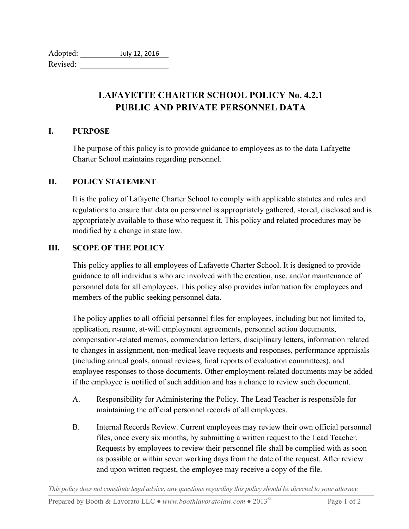| Adopted: | July 12, 2016 |
|----------|---------------|
| Revised: |               |

## **LAFAYETTE CHARTER SCHOOL POLICY No. 4.2.1 PUBLIC AND PRIVATE PERSONNEL DATA**

## **I. PURPOSE**

The purpose of this policy is to provide guidance to employees as to the data Lafayette Charter School maintains regarding personnel.

## **II. POLICY STATEMENT**

It is the policy of Lafayette Charter School to comply with applicable statutes and rules and regulations to ensure that data on personnel is appropriately gathered, stored, disclosed and is appropriately available to those who request it. This policy and related procedures may be modified by a change in state law.

## **III. SCOPE OF THE POLICY**

This policy applies to all employees of Lafayette Charter School. It is designed to provide guidance to all individuals who are involved with the creation, use, and/or maintenance of personnel data for all employees. This policy also provides information for employees and members of the public seeking personnel data.

The policy applies to all official personnel files for employees, including but not limited to, application, resume, at-will employment agreements, personnel action documents, compensation-related memos, commendation letters, disciplinary letters, information related to changes in assignment, non-medical leave requests and responses, performance appraisals (including annual goals, annual reviews, final reports of evaluation committees), and employee responses to those documents. Other employment-related documents may be added if the employee is notified of such addition and has a chance to review such document.

- A. Responsibility for Administering the Policy. The Lead Teacher is responsible for maintaining the official personnel records of all employees.
- B. Internal Records Review. Current employees may review their own official personnel files, once every six months, by submitting a written request to the Lead Teacher. Requests by employees to review their personnel file shall be complied with as soon as possible or within seven working days from the date of the request. After review and upon written request, the employee may receive a copy of the file.

*This policy does not constitute legal advice; any questions regarding this policy should be directed to your attorney.*